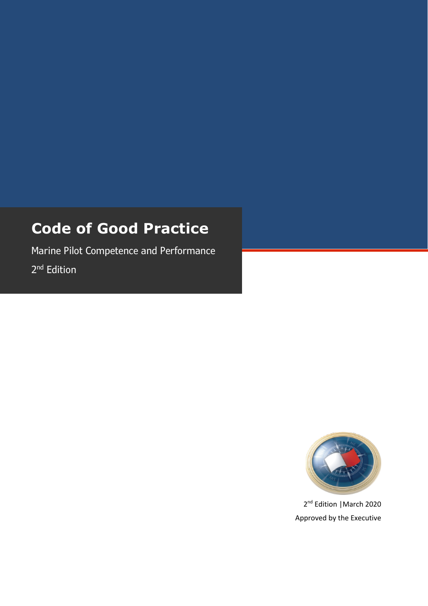# **Code of Good Practice**

Marine Pilot Competence and Performance 2<sup>nd</sup> Edition



2<sup>nd</sup> Edition | March 2020 Approved by the Executive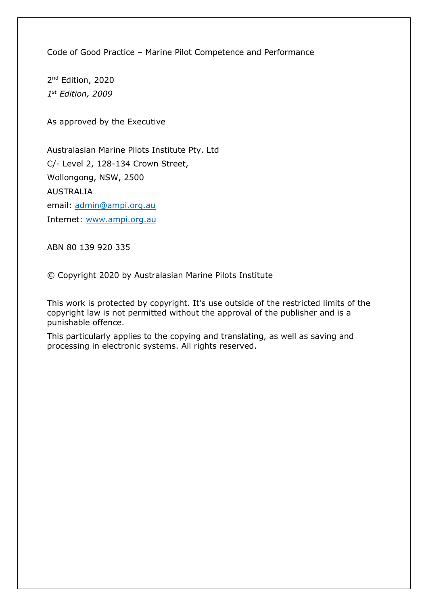Code of Good Practice – Marine Pilot Competence and Performance

2<sup>nd</sup> Edition, 2020 *1st Edition, 2009*

As approved by the Executive

Australasian Marine Pilots Institute Pty. Ltd C/- Level 2, 128-134 Crown Street, Wollongong, NSW, 2500 AUSTRALIA email: admin@ampi.org.au Internet: www.ampi.org.au

ABN 80 139 920 335

© Copyright 2020 by Australasian Marine Pilots Institute

This work is protected by copyright. It's use outside of the restricted limits of the copyright law is not permitted without the approval of the publisher and is a punishable offence.

This particularly applies to the copying and translating, as well as saving and processing in electronic systems. All rights reserved.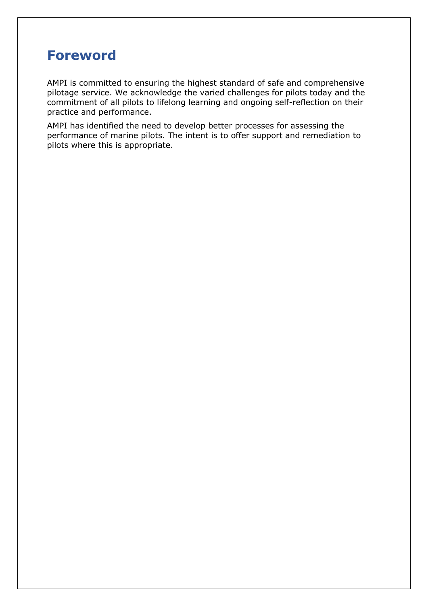# **Foreword**

AMPI is committed to ensuring the highest standard of safe and comprehensive pilotage service. We acknowledge the varied challenges for pilots today and the commitment of all pilots to lifelong learning and ongoing self-reflection on their practice and performance.

AMPI has identified the need to develop better processes for assessing the performance of marine pilots. The intent is to offer support and remediation to pilots where this is appropriate.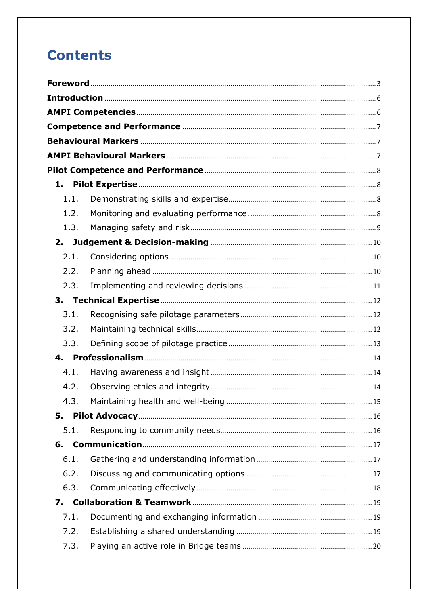# **Contents**

| 1.   |  |  |  |
|------|--|--|--|
| 1.1. |  |  |  |
| 1.2. |  |  |  |
| 1.3. |  |  |  |
| 2.   |  |  |  |
| 2.1. |  |  |  |
| 2.2. |  |  |  |
| 2.3. |  |  |  |
|      |  |  |  |
| 3.1. |  |  |  |
| 3.2. |  |  |  |
| 3.3. |  |  |  |
| 4.   |  |  |  |
| 4.1. |  |  |  |
| 4.2. |  |  |  |
| 4.3. |  |  |  |
| 5.   |  |  |  |
| 5.1. |  |  |  |
| 6.   |  |  |  |
| 6.1. |  |  |  |
| 6.2. |  |  |  |
| 6.3. |  |  |  |
| 7.   |  |  |  |
| 7.1. |  |  |  |
| 7.2. |  |  |  |
| 7.3. |  |  |  |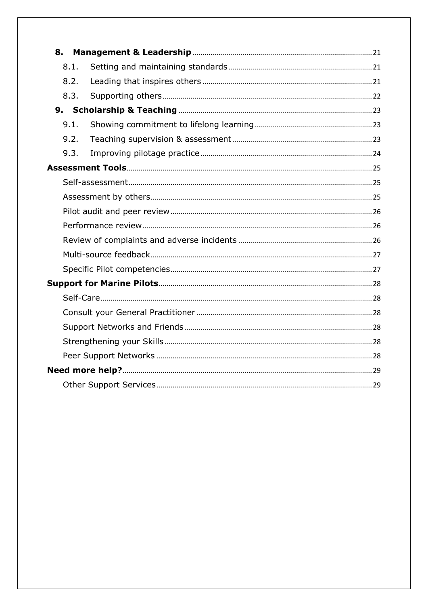|  | 8.1. |  |  |
|--|------|--|--|
|  | 8.2. |  |  |
|  | 8.3. |  |  |
|  |      |  |  |
|  | 9.1. |  |  |
|  | 9.2. |  |  |
|  | 9.3. |  |  |
|  |      |  |  |
|  |      |  |  |
|  |      |  |  |
|  |      |  |  |
|  |      |  |  |
|  |      |  |  |
|  |      |  |  |
|  |      |  |  |
|  |      |  |  |
|  |      |  |  |
|  |      |  |  |
|  |      |  |  |
|  |      |  |  |
|  |      |  |  |
|  |      |  |  |
|  |      |  |  |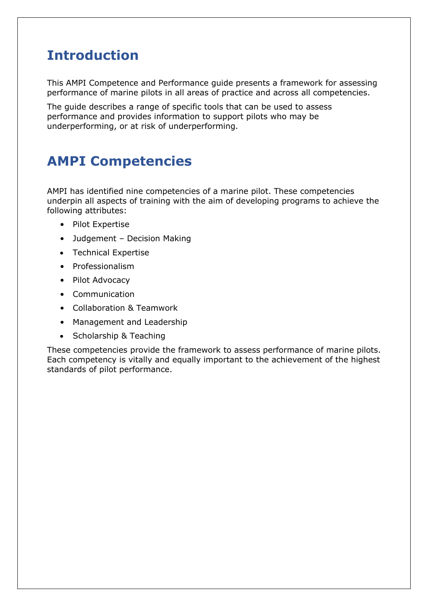# **Introduction**

This AMPI Competence and Performance guide presents a framework for assessing performance of marine pilots in all areas of practice and across all competencies.

The guide describes a range of specific tools that can be used to assess performance and provides information to support pilots who may be underperforming, or at risk of underperforming.

# **AMPI Competencies**

AMPI has identified nine competencies of a marine pilot. These competencies underpin all aspects of training with the aim of developing programs to achieve the following attributes:

- Pilot Expertise
- Judgement Decision Making
- Technical Expertise
- Professionalism
- Pilot Advocacy
- Communication
- Collaboration & Teamwork
- Management and Leadership
- Scholarship & Teaching

These competencies provide the framework to assess performance of marine pilots. Each competency is vitally and equally important to the achievement of the highest standards of pilot performance.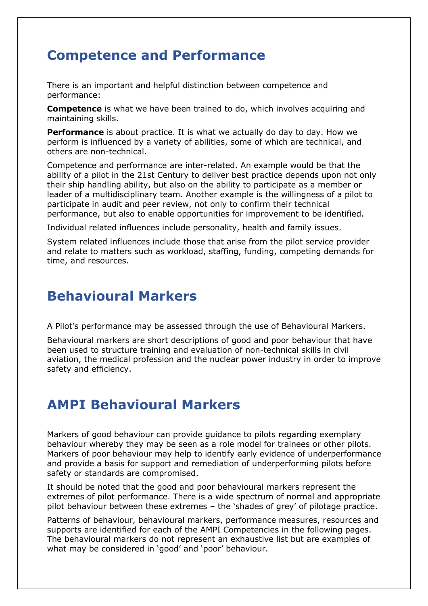# **Competence and Performance**

There is an important and helpful distinction between competence and performance:

**Competence** is what we have been trained to do, which involves acquiring and maintaining skills.

**Performance** is about practice. It is what we actually do day to day. How we perform is influenced by a variety of abilities, some of which are technical, and others are non-technical.

Competence and performance are inter-related. An example would be that the ability of a pilot in the 21st Century to deliver best practice depends upon not only their ship handling ability, but also on the ability to participate as a member or leader of a multidisciplinary team. Another example is the willingness of a pilot to participate in audit and peer review, not only to confirm their technical performance, but also to enable opportunities for improvement to be identified.

Individual related influences include personality, health and family issues.

System related influences include those that arise from the pilot service provider and relate to matters such as workload, staffing, funding, competing demands for time, and resources.

# **Behavioural Markers**

A Pilot's performance may be assessed through the use of Behavioural Markers.

Behavioural markers are short descriptions of good and poor behaviour that have been used to structure training and evaluation of non-technical skills in civil aviation, the medical profession and the nuclear power industry in order to improve safety and efficiency.

# **AMPI Behavioural Markers**

Markers of good behaviour can provide guidance to pilots regarding exemplary behaviour whereby they may be seen as a role model for trainees or other pilots. Markers of poor behaviour may help to identify early evidence of underperformance and provide a basis for support and remediation of underperforming pilots before safety or standards are compromised.

It should be noted that the good and poor behavioural markers represent the extremes of pilot performance. There is a wide spectrum of normal and appropriate pilot behaviour between these extremes – the 'shades of grey' of pilotage practice.

Patterns of behaviour, behavioural markers, performance measures, resources and supports are identified for each of the AMPI Competencies in the following pages. The behavioural markers do not represent an exhaustive list but are examples of what may be considered in 'good' and 'poor' behaviour.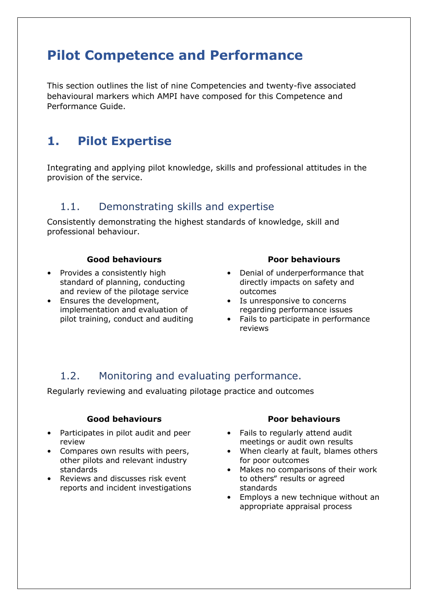# **Pilot Competence and Performance**

This section outlines the list of nine Competencies and twenty-five associated behavioural markers which AMPI have composed for this Competence and Performance Guide.

# **1. Pilot Expertise**

Integrating and applying pilot knowledge, skills and professional attitudes in the provision of the service.

### 1.1. Demonstrating skills and expertise

Consistently demonstrating the highest standards of knowledge, skill and professional behaviour.

#### **Good behaviours**

- Provides a consistently high standard of planning, conducting and review of the pilotage service
- Ensures the development, implementation and evaluation of pilot training, conduct and auditing

#### **Poor behaviours**

- Denial of underperformance that directly impacts on safety and outcomes
- Is unresponsive to concerns regarding performance issues
- Fails to participate in performance reviews

## 1.2. Monitoring and evaluating performance.

Regularly reviewing and evaluating pilotage practice and outcomes

#### **Good behaviours**

- Participates in pilot audit and peer review
- Compares own results with peers, other pilots and relevant industry standards
- Reviews and discusses risk event reports and incident investigations

- Fails to regularly attend audit meetings or audit own results
- When clearly at fault, blames others for poor outcomes
- Makes no comparisons of their work to others" results or agreed standards
- Employs a new technique without an appropriate appraisal process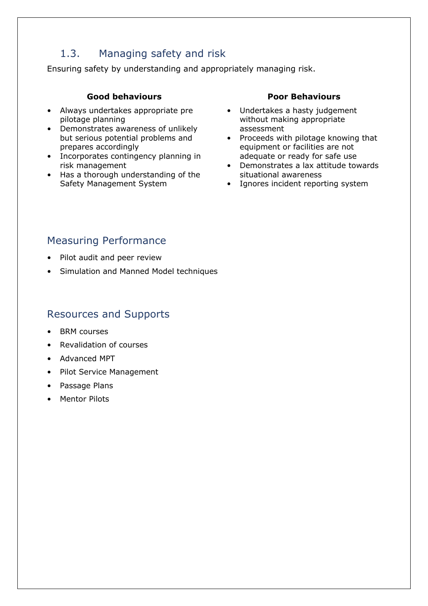## 1.3. Managing safety and risk

Ensuring safety by understanding and appropriately managing risk.

#### **Good behaviours**

- Always undertakes appropriate pre pilotage planning
- Demonstrates awareness of unlikely but serious potential problems and prepares accordingly
- Incorporates contingency planning in risk management
- Has a thorough understanding of the Safety Management System

#### **Poor Behaviours**

- Undertakes a hasty judgement without making appropriate assessment
- Proceeds with pilotage knowing that equipment or facilities are not adequate or ready for safe use
- Demonstrates a lax attitude towards situational awareness
- Ignores incident reporting system

## Measuring Performance

- Pilot audit and peer review
- Simulation and Manned Model techniques

- **BRM** courses
- Revalidation of courses
- Advanced MPT
- Pilot Service Management
- Passage Plans
- Mentor Pilots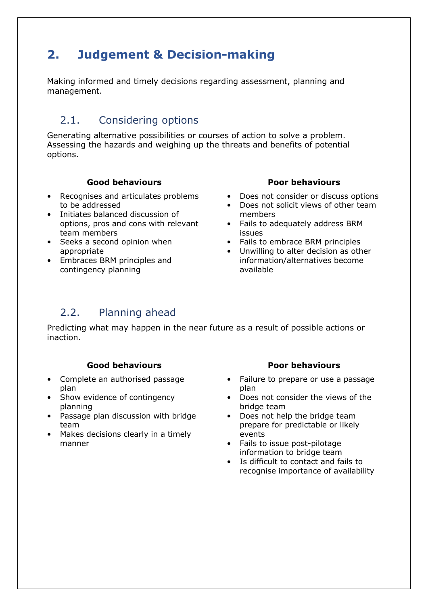# **2. Judgement & Decision-making**

Making informed and timely decisions regarding assessment, planning and management.

## 2.1. Considering options

Generating alternative possibilities or courses of action to solve a problem. Assessing the hazards and weighing up the threats and benefits of potential options.

#### **Good behaviours**

- Recognises and articulates problems to be addressed
- Initiates balanced discussion of options, pros and cons with relevant team members
- Seeks a second opinion when appropriate
- Embraces BRM principles and contingency planning

#### **Poor behaviours**

- Does not consider or discuss options
- Does not solicit views of other team members
- Fails to adequately address BRM issues
- Fails to embrace BRM principles
- Unwilling to alter decision as other information/alternatives become available

# 2.2. Planning ahead

Predicting what may happen in the near future as a result of possible actions or inaction.

#### **Good behaviours**

- Complete an authorised passage plan
- Show evidence of contingency planning
- Passage plan discussion with bridge team
- Makes decisions clearly in a timely manner

- Failure to prepare or use a passage plan
- Does not consider the views of the bridge team
- Does not help the bridge team prepare for predictable or likely events
- Fails to issue post-pilotage information to bridge team
- Is difficult to contact and fails to recognise importance of availability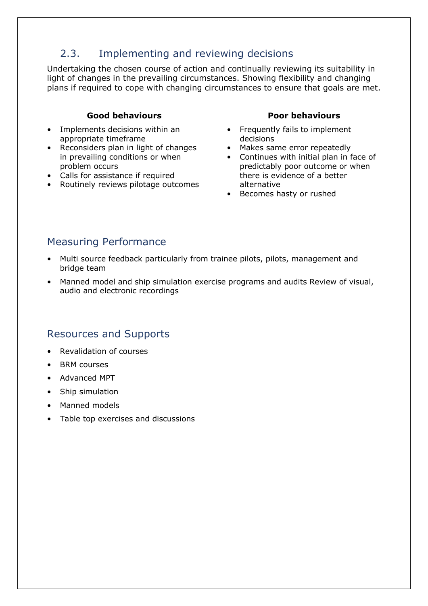# 2.3. Implementing and reviewing decisions

Undertaking the chosen course of action and continually reviewing its suitability in light of changes in the prevailing circumstances. Showing flexibility and changing plans if required to cope with changing circumstances to ensure that goals are met.

#### **Good behaviours**

- Implements decisions within an appropriate timeframe
- Reconsiders plan in light of changes in prevailing conditions or when problem occurs
- Calls for assistance if required
- Routinely reviews pilotage outcomes

#### **Poor behaviours**

- Frequently fails to implement decisions
- Makes same error repeatedly
- Continues with initial plan in face of predictably poor outcome or when there is evidence of a better alternative
- Becomes hasty or rushed

## Measuring Performance

- Multi source feedback particularly from trainee pilots, pilots, management and bridge team
- Manned model and ship simulation exercise programs and audits Review of visual, audio and electronic recordings

- Revalidation of courses
- BRM courses
- Advanced MPT
- Ship simulation
- Manned models
- Table top exercises and discussions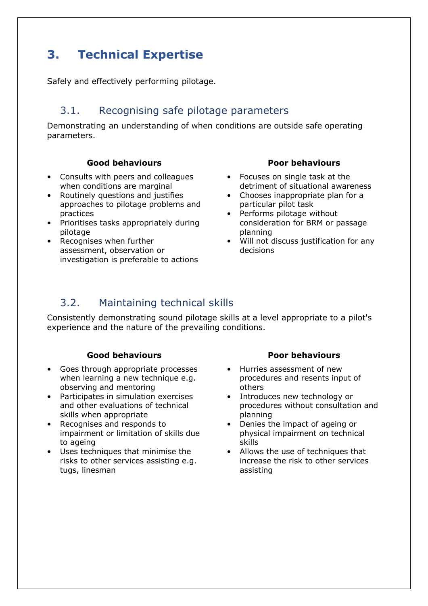# **3. Technical Expertise**

Safely and effectively performing pilotage.

## 3.1. Recognising safe pilotage parameters

Demonstrating an understanding of when conditions are outside safe operating parameters.

#### **Good behaviours**

- Consults with peers and colleagues when conditions are marginal
- Routinely questions and justifies approaches to pilotage problems and practices
- Prioritises tasks appropriately during pilotage
- Recognises when further assessment, observation or investigation is preferable to actions

#### **Poor behaviours**

- Focuses on single task at the detriment of situational awareness
- Chooses inappropriate plan for a particular pilot task
- Performs pilotage without consideration for BRM or passage planning
- Will not discuss justification for any decisions

### 3.2. Maintaining technical skills

Consistently demonstrating sound pilotage skills at a level appropriate to a pilot's experience and the nature of the prevailing conditions.

#### **Good behaviours**

- Goes through appropriate processes when learning a new technique e.g. observing and mentoring
- Participates in simulation exercises and other evaluations of technical skills when appropriate
- Recognises and responds to impairment or limitation of skills due to ageing
- Uses techniques that minimise the risks to other services assisting e.g. tugs, linesman

- Hurries assessment of new procedures and resents input of others
- Introduces new technology or procedures without consultation and planning
- Denies the impact of ageing or physical impairment on technical skills
- Allows the use of techniques that increase the risk to other services assisting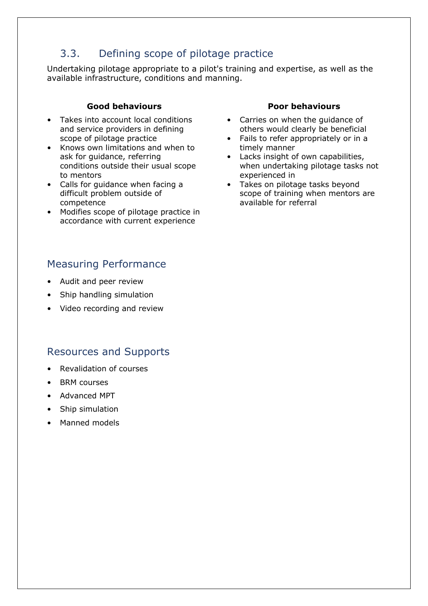# 3.3. Defining scope of pilotage practice

Undertaking pilotage appropriate to a pilot's training and expertise, as well as the available infrastructure, conditions and manning.

#### **Good behaviours**

- Takes into account local conditions and service providers in defining scope of pilotage practice
- Knows own limitations and when to ask for guidance, referring conditions outside their usual scope to mentors
- Calls for guidance when facing a difficult problem outside of competence
- Modifies scope of pilotage practice in accordance with current experience

### Measuring Performance

- Audit and peer review
- Ship handling simulation
- Video recording and review

### Resources and Supports

- Revalidation of courses
- BRM courses
- Advanced MPT
- Ship simulation
- Manned models

- Carries on when the guidance of others would clearly be beneficial
- Fails to refer appropriately or in a timely manner
- Lacks insight of own capabilities, when undertaking pilotage tasks not experienced in
- Takes on pilotage tasks beyond scope of training when mentors are available for referral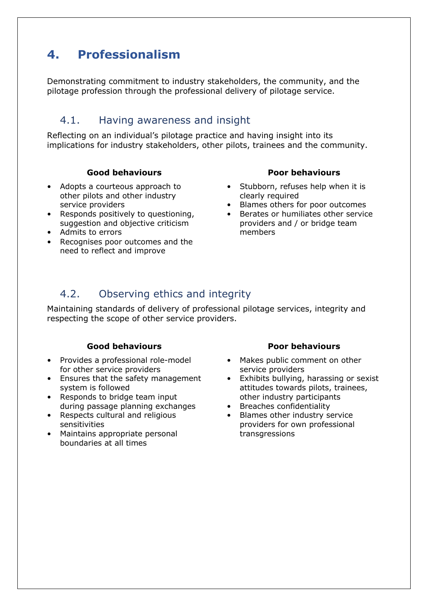# **4. Professionalism**

Demonstrating commitment to industry stakeholders, the community, and the pilotage profession through the professional delivery of pilotage service.

### 4.1. Having awareness and insight

Reflecting on an individual's pilotage practice and having insight into its implications for industry stakeholders, other pilots, trainees and the community.

#### **Good behaviours**

- Adopts a courteous approach to other pilots and other industry service providers
- Responds positively to questioning, suggestion and objective criticism
- Admits to errors
- Recognises poor outcomes and the need to reflect and improve

#### **Poor behaviours**

- Stubborn, refuses help when it is clearly required
- Blames others for poor outcomes
- Berates or humiliates other service providers and / or bridge team members

## 4.2. Observing ethics and integrity

Maintaining standards of delivery of professional pilotage services, integrity and respecting the scope of other service providers.

#### **Good behaviours**

- Provides a professional role-model for other service providers
- Ensures that the safety management system is followed
- Responds to bridge team input during passage planning exchanges
- Respects cultural and religious sensitivities
- Maintains appropriate personal boundaries at all times

- Makes public comment on other service providers
- Exhibits bullying, harassing or sexist attitudes towards pilots, trainees, other industry participants
- Breaches confidentiality
- Blames other industry service providers for own professional transgressions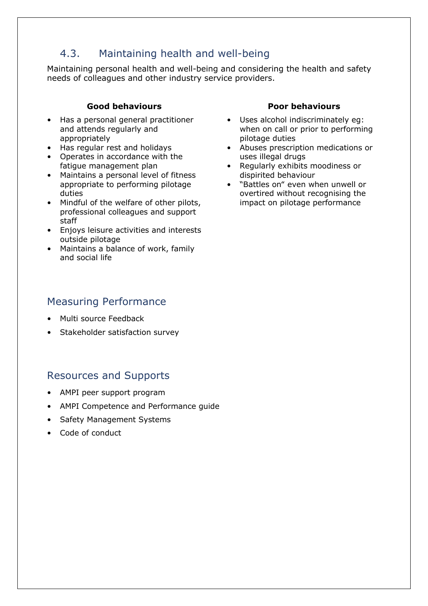## 4.3. Maintaining health and well-being

Maintaining personal health and well-being and considering the health and safety needs of colleagues and other industry service providers.

#### **Good behaviours**

- Has a personal general practitioner and attends regularly and appropriately
- Has regular rest and holidays
- Operates in accordance with the fatigue management plan
- Maintains a personal level of fitness appropriate to performing pilotage duties
- Mindful of the welfare of other pilots, professional colleagues and support staff
- Enjoys leisure activities and interests outside pilotage
- Maintains a balance of work, family and social life

### Measuring Performance

- Multi source Feedback
- Stakeholder satisfaction survey

## Resources and Supports

- AMPI peer support program
- AMPI Competence and Performance guide
- Safety Management Systems
- Code of conduct

- Uses alcohol indiscriminately eg: when on call or prior to performing pilotage duties
- Abuses prescription medications or uses illegal drugs
- Regularly exhibits moodiness or dispirited behaviour
- "Battles on" even when unwell or overtired without recognising the impact on pilotage performance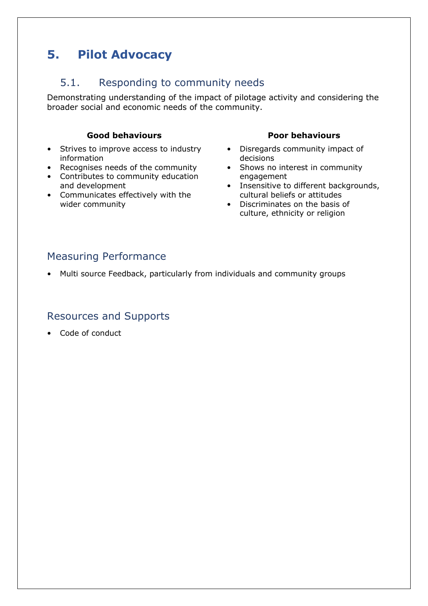# **5. Pilot Advocacy**

## 5.1. Responding to community needs

Demonstrating understanding of the impact of pilotage activity and considering the broader social and economic needs of the community.

#### **Good behaviours**

- Strives to improve access to industry information
- Recognises needs of the community
- Contributes to community education and development
- Communicates effectively with the wider community

#### **Poor behaviours**

- Disregards community impact of decisions
- Shows no interest in community engagement
- Insensitive to different backgrounds, cultural beliefs or attitudes
- Discriminates on the basis of culture, ethnicity or religion

## Measuring Performance

• Multi source Feedback, particularly from individuals and community groups

### Resources and Supports

• Code of conduct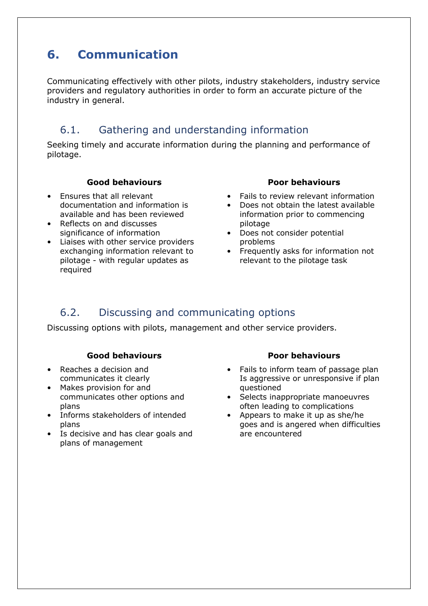# **6. Communication**

Communicating effectively with other pilots, industry stakeholders, industry service providers and regulatory authorities in order to form an accurate picture of the industry in general.

## 6.1. Gathering and understanding information

Seeking timely and accurate information during the planning and performance of pilotage.

#### **Good behaviours**

- Ensures that all relevant documentation and information is available and has been reviewed
- Reflects on and discusses significance of information
- Liaises with other service providers exchanging information relevant to pilotage - with regular updates as required

#### **Poor behaviours**

- Fails to review relevant information
- Does not obtain the latest available information prior to commencing pilotage
- Does not consider potential problems
- Frequently asks for information not relevant to the pilotage task

# 6.2. Discussing and communicating options

Discussing options with pilots, management and other service providers.

#### **Good behaviours**

- Reaches a decision and communicates it clearly
- Makes provision for and
- communicates other options and plans
- Informs stakeholders of intended plans
- Is decisive and has clear goals and plans of management

- Fails to inform team of passage plan Is aggressive or unresponsive if plan questioned
- Selects inappropriate manoeuvres often leading to complications
- Appears to make it up as she/he goes and is angered when difficulties are encountered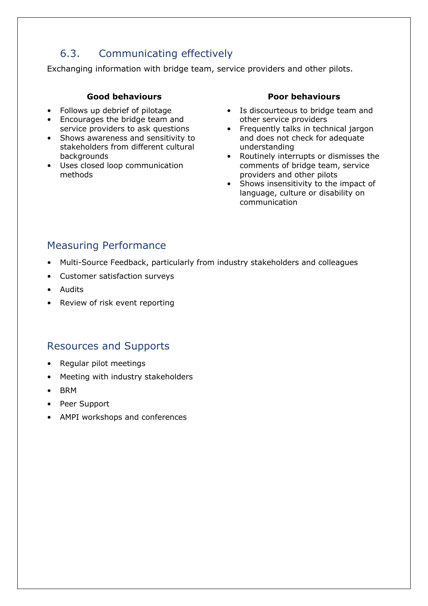# 6.3. Communicating effectively

Exchanging information with bridge team, service providers and other pilots.

#### **Good behaviours**

- Follows up debrief of pilotage
- Encourages the bridge team and service providers to ask questions
- Shows awareness and sensitivity to stakeholders from different cultural backgrounds
- Uses closed loop communication methods

#### **Poor behaviours**

- Is discourteous to bridge team and other service providers
- Frequently talks in technical jargon and does not check for adequate understanding
- Routinely interrupts or dismisses the comments of bridge team, service providers and other pilots
- Shows insensitivity to the impact of language, culture or disability on communication

## Measuring Performance

- Multi-Source Feedback, particularly from industry stakeholders and colleagues
- Customer satisfaction surveys
- Audits
- Review of risk event reporting

- Regular pilot meetings
- Meeting with industry stakeholders
- BRM
- Peer Support
- AMPI workshops and conferences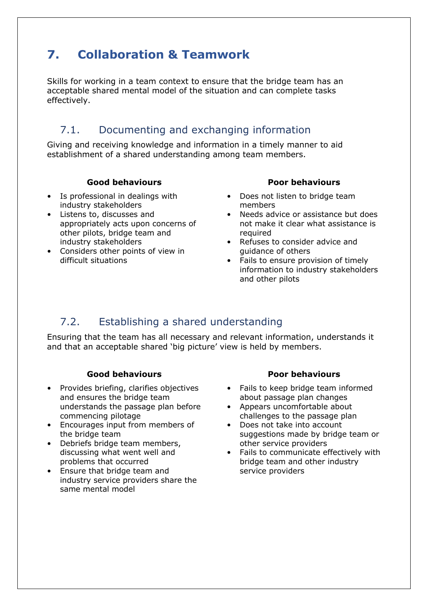# **7. Collaboration & Teamwork**

Skills for working in a team context to ensure that the bridge team has an acceptable shared mental model of the situation and can complete tasks effectively.

## 7.1. Documenting and exchanging information

Giving and receiving knowledge and information in a timely manner to aid establishment of a shared understanding among team members.

#### **Good behaviours**

- Is professional in dealings with industry stakeholders
- Listens to, discusses and appropriately acts upon concerns of other pilots, bridge team and industry stakeholders
- Considers other points of view in difficult situations

#### **Poor behaviours**

- Does not listen to bridge team members
- Needs advice or assistance but does not make it clear what assistance is required
- Refuses to consider advice and guidance of others
- Fails to ensure provision of timely information to industry stakeholders and other pilots

# 7.2. Establishing a shared understanding

Ensuring that the team has all necessary and relevant information, understands it and that an acceptable shared 'big picture' view is held by members.

#### **Good behaviours**

- Provides briefing, clarifies objectives and ensures the bridge team understands the passage plan before commencing pilotage
- Encourages input from members of the bridge team
- Debriefs bridge team members, discussing what went well and problems that occurred
- Ensure that bridge team and industry service providers share the same mental model

- Fails to keep bridge team informed about passage plan changes
- Appears uncomfortable about challenges to the passage plan
- Does not take into account suggestions made by bridge team or other service providers
- Fails to communicate effectively with bridge team and other industry service providers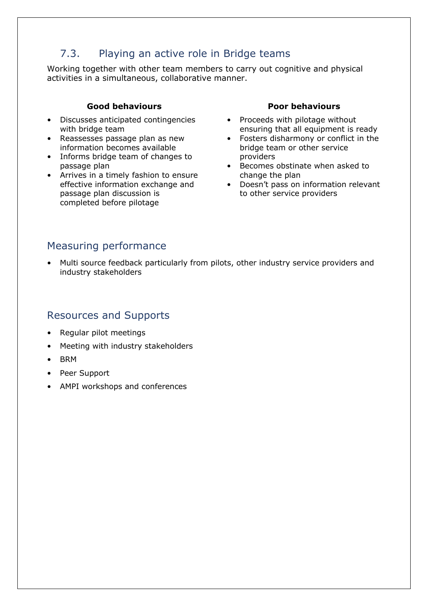# 7.3. Playing an active role in Bridge teams

Working together with other team members to carry out cognitive and physical activities in a simultaneous, collaborative manner.

#### **Good behaviours**

- Discusses anticipated contingencies with bridge team
- Reassesses passage plan as new information becomes available
- Informs bridge team of changes to passage plan
- Arrives in a timely fashion to ensure effective information exchange and passage plan discussion is completed before pilotage

#### **Poor behaviours**

- Proceeds with pilotage without ensuring that all equipment is ready
- Fosters disharmony or conflict in the bridge team or other service providers
- Becomes obstinate when asked to change the plan
- Doesn't pass on information relevant to other service providers

### Measuring performance

• Multi source feedback particularly from pilots, other industry service providers and industry stakeholders

- Regular pilot meetings
- Meeting with industry stakeholders
- BRM
- Peer Support
- AMPI workshops and conferences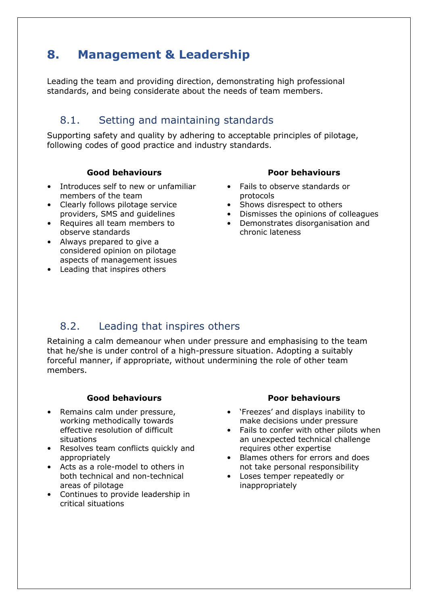# **8. Management & Leadership**

Leading the team and providing direction, demonstrating high professional standards, and being considerate about the needs of team members.

## 8.1. Setting and maintaining standards

Supporting safety and quality by adhering to acceptable principles of pilotage, following codes of good practice and industry standards.

#### **Good behaviours**

- Introduces self to new or unfamiliar members of the team
- Clearly follows pilotage service providers, SMS and guidelines
- Requires all team members to observe standards
- Always prepared to give a considered opinion on pilotage aspects of management issues
- Leading that inspires others

#### **Poor behaviours**

- Fails to observe standards or protocols
- Shows disrespect to others
- Dismisses the opinions of colleagues
- Demonstrates disorganisation and chronic lateness

## 8.2. Leading that inspires others

Retaining a calm demeanour when under pressure and emphasising to the team that he/she is under control of a high-pressure situation. Adopting a suitably forceful manner, if appropriate, without undermining the role of other team members.

#### **Good behaviours**

- Remains calm under pressure, working methodically towards effective resolution of difficult situations
- Resolves team conflicts quickly and appropriately
- Acts as a role-model to others in both technical and non-technical areas of pilotage
- Continues to provide leadership in critical situations

- 'Freezes' and displays inability to make decisions under pressure
- Fails to confer with other pilots when an unexpected technical challenge requires other expertise
- Blames others for errors and does not take personal responsibility
- Loses temper repeatedly or inappropriately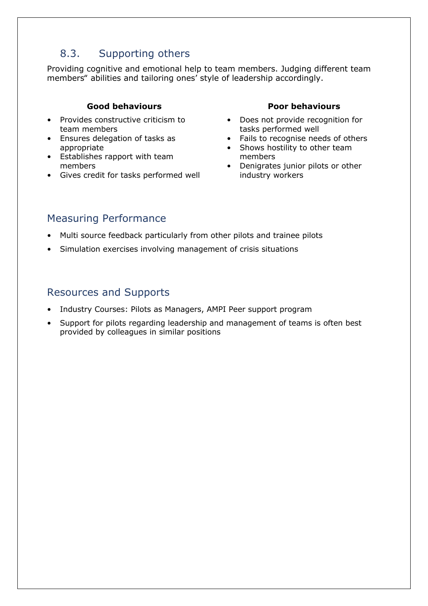# 8.3. Supporting others

Providing cognitive and emotional help to team members. Judging different team members" abilities and tailoring ones' style of leadership accordingly.

#### **Good behaviours**

- Provides constructive criticism to team members
- Ensures delegation of tasks as appropriate
- Establishes rapport with team members
- Gives credit for tasks performed well

#### **Poor behaviours**

- Does not provide recognition for tasks performed well
- Fails to recognise needs of others
- Shows hostility to other team members
- Denigrates junior pilots or other industry workers

## Measuring Performance

- Multi source feedback particularly from other pilots and trainee pilots
- Simulation exercises involving management of crisis situations

- Industry Courses: Pilots as Managers, AMPI Peer support program
- Support for pilots regarding leadership and management of teams is often best provided by colleagues in similar positions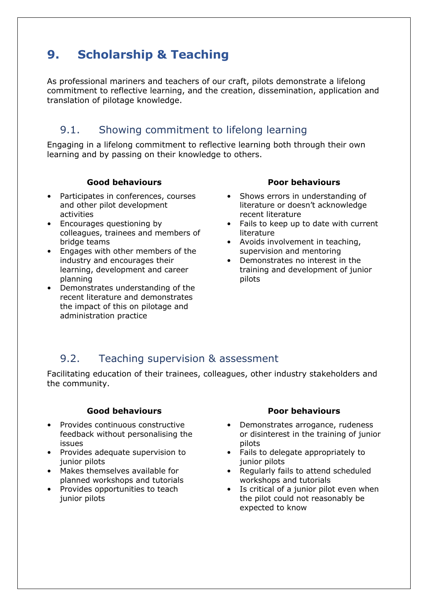# **9. Scholarship & Teaching**

As professional mariners and teachers of our craft, pilots demonstrate a lifelong commitment to reflective learning, and the creation, dissemination, application and translation of pilotage knowledge.

## 9.1. Showing commitment to lifelong learning

Engaging in a lifelong commitment to reflective learning both through their own learning and by passing on their knowledge to others.

#### **Good behaviours**

- Participates in conferences, courses and other pilot development activities
- Encourages questioning by colleagues, trainees and members of bridge teams
- Engages with other members of the industry and encourages their learning, development and career planning
- Demonstrates understanding of the recent literature and demonstrates the impact of this on pilotage and administration practice

#### **Poor behaviours**

- Shows errors in understanding of literature or doesn't acknowledge recent literature
- Fails to keep up to date with current literature
- Avoids involvement in teaching, supervision and mentoring
- Demonstrates no interest in the training and development of junior pilots

## 9.2. Teaching supervision & assessment

Facilitating education of their trainees, colleagues, other industry stakeholders and the community.

#### **Good behaviours**

- Provides continuous constructive feedback without personalising the issues
- Provides adequate supervision to junior pilots
- Makes themselves available for planned workshops and tutorials
- Provides opportunities to teach junior pilots

- Demonstrates arrogance, rudeness or disinterest in the training of junior pilots
- Fails to delegate appropriately to junior pilots
- Regularly fails to attend scheduled workshops and tutorials
- Is critical of a junior pilot even when the pilot could not reasonably be expected to know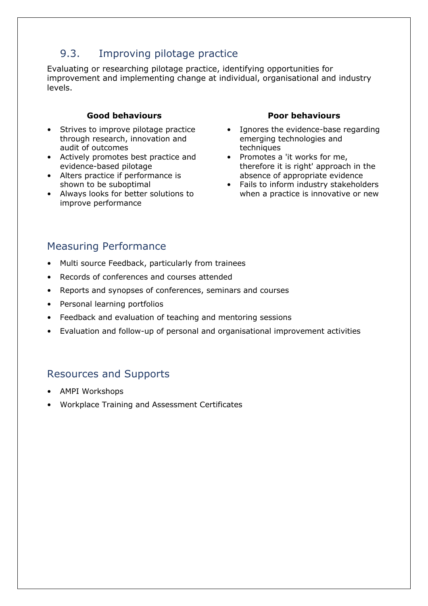# 9.3. Improving pilotage practice

Evaluating or researching pilotage practice, identifying opportunities for improvement and implementing change at individual, organisational and industry levels.

#### **Good behaviours**

- Strives to improve pilotage practice through research, innovation and audit of outcomes
- Actively promotes best practice and evidence-based pilotage
- Alters practice if performance is shown to be suboptimal
- Always looks for better solutions to improve performance

#### **Poor behaviours**

- Ignores the evidence-base regarding emerging technologies and techniques
- Promotes a 'it works for me, therefore it is right' approach in the absence of appropriate evidence
- Fails to inform industry stakeholders when a practice is innovative or new

## Measuring Performance

- Multi source Feedback, particularly from trainees
- Records of conferences and courses attended
- Reports and synopses of conferences, seminars and courses
- Personal learning portfolios
- Feedback and evaluation of teaching and mentoring sessions
- Evaluation and follow-up of personal and organisational improvement activities

- AMPI Workshops
- Workplace Training and Assessment Certificates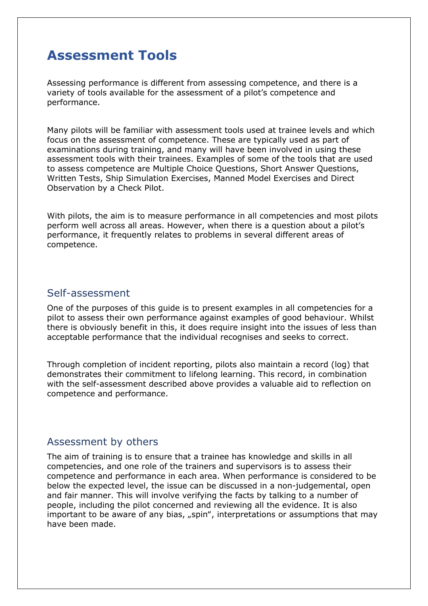# **Assessment Tools**

Assessing performance is different from assessing competence, and there is a variety of tools available for the assessment of a pilot's competence and performance.

Many pilots will be familiar with assessment tools used at trainee levels and which focus on the assessment of competence. These are typically used as part of examinations during training, and many will have been involved in using these assessment tools with their trainees. Examples of some of the tools that are used to assess competence are Multiple Choice Questions, Short Answer Questions, Written Tests, Ship Simulation Exercises, Manned Model Exercises and Direct Observation by a Check Pilot.

With pilots, the aim is to measure performance in all competencies and most pilots perform well across all areas. However, when there is a question about a pilot's performance, it frequently relates to problems in several different areas of competence.

#### Self-assessment

One of the purposes of this guide is to present examples in all competencies for a pilot to assess their own performance against examples of good behaviour. Whilst there is obviously benefit in this, it does require insight into the issues of less than acceptable performance that the individual recognises and seeks to correct.

Through completion of incident reporting, pilots also maintain a record (log) that demonstrates their commitment to lifelong learning. This record, in combination with the self-assessment described above provides a valuable aid to reflection on competence and performance.

### Assessment by others

The aim of training is to ensure that a trainee has knowledge and skills in all competencies, and one role of the trainers and supervisors is to assess their competence and performance in each area. When performance is considered to be below the expected level, the issue can be discussed in a non-judgemental, open and fair manner. This will involve verifying the facts by talking to a number of people, including the pilot concerned and reviewing all the evidence. It is also important to be aware of any bias, "spin", interpretations or assumptions that may have been made.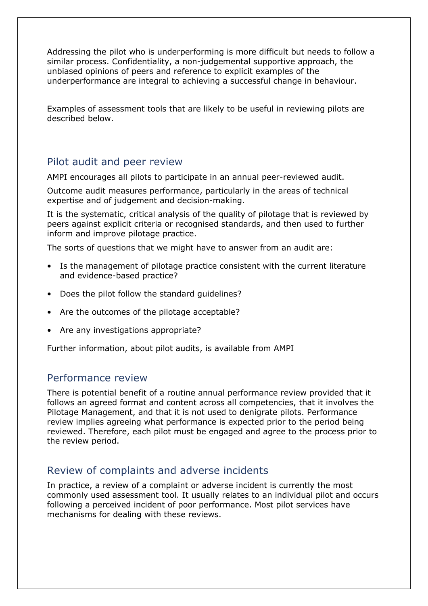Addressing the pilot who is underperforming is more difficult but needs to follow a similar process. Confidentiality, a non-judgemental supportive approach, the unbiased opinions of peers and reference to explicit examples of the underperformance are integral to achieving a successful change in behaviour.

Examples of assessment tools that are likely to be useful in reviewing pilots are described below.

### Pilot audit and peer review

AMPI encourages all pilots to participate in an annual peer-reviewed audit.

Outcome audit measures performance, particularly in the areas of technical expertise and of judgement and decision-making.

It is the systematic, critical analysis of the quality of pilotage that is reviewed by peers against explicit criteria or recognised standards, and then used to further inform and improve pilotage practice.

The sorts of questions that we might have to answer from an audit are:

- Is the management of pilotage practice consistent with the current literature and evidence-based practice?
- Does the pilot follow the standard guidelines?
- Are the outcomes of the pilotage acceptable?
- Are any investigations appropriate?

Further information, about pilot audits, is available from AMPI

### Performance review

There is potential benefit of a routine annual performance review provided that it follows an agreed format and content across all competencies, that it involves the Pilotage Management, and that it is not used to denigrate pilots. Performance review implies agreeing what performance is expected prior to the period being reviewed. Therefore, each pilot must be engaged and agree to the process prior to the review period.

### Review of complaints and adverse incidents

In practice, a review of a complaint or adverse incident is currently the most commonly used assessment tool. It usually relates to an individual pilot and occurs following a perceived incident of poor performance. Most pilot services have mechanisms for dealing with these reviews.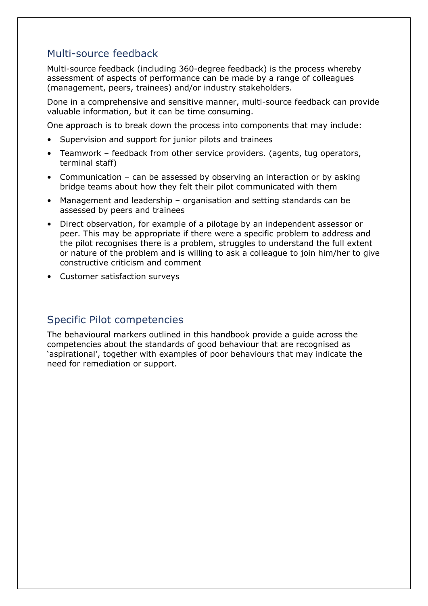### Multi-source feedback

Multi-source feedback (including 360-degree feedback) is the process whereby assessment of aspects of performance can be made by a range of colleagues (management, peers, trainees) and/or industry stakeholders.

Done in a comprehensive and sensitive manner, multi-source feedback can provide valuable information, but it can be time consuming.

One approach is to break down the process into components that may include:

- Supervision and support for junior pilots and trainees
- Teamwork feedback from other service providers. (agents, tug operators, terminal staff)
- Communication can be assessed by observing an interaction or by asking bridge teams about how they felt their pilot communicated with them
- Management and leadership organisation and setting standards can be assessed by peers and trainees
- Direct observation, for example of a pilotage by an independent assessor or peer. This may be appropriate if there were a specific problem to address and the pilot recognises there is a problem, struggles to understand the full extent or nature of the problem and is willing to ask a colleague to join him/her to give constructive criticism and comment
- Customer satisfaction surveys

### Specific Pilot competencies

The behavioural markers outlined in this handbook provide a guide across the competencies about the standards of good behaviour that are recognised as 'aspirational', together with examples of poor behaviours that may indicate the need for remediation or support.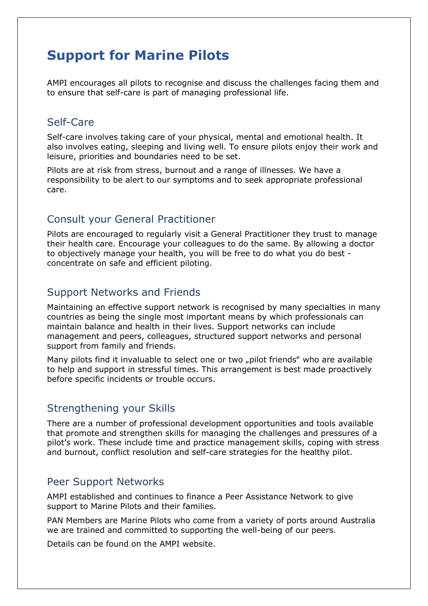# **Support for Marine Pilots**

AMPI encourages all pilots to recognise and discuss the challenges facing them and to ensure that self-care is part of managing professional life.

### Self-Care

Self-care involves taking care of your physical, mental and emotional health. It also involves eating, sleeping and living well. To ensure pilots enjoy their work and leisure, priorities and boundaries need to be set.

Pilots are at risk from stress, burnout and a range of illnesses. We have a responsibility to be alert to our symptoms and to seek appropriate professional care.

### Consult your General Practitioner

Pilots are encouraged to regularly visit a General Practitioner they trust to manage their health care. Encourage your colleagues to do the same. By allowing a doctor to objectively manage your health, you will be free to do what you do best concentrate on safe and efficient piloting.

### Support Networks and Friends

Maintaining an effective support network is recognised by many specialties in many countries as being the single most important means by which professionals can maintain balance and health in their lives. Support networks can include management and peers, colleagues, structured support networks and personal support from family and friends.

Many pilots find it invaluable to select one or two "pilot friends" who are available to help and support in stressful times. This arrangement is best made proactively before specific incidents or trouble occurs.

### Strengthening your Skills

There are a number of professional development opportunities and tools available that promote and strengthen skills for managing the challenges and pressures of a pilot's work. These include time and practice management skills, coping with stress and burnout, conflict resolution and self-care strategies for the healthy pilot.

### Peer Support Networks

AMPI established and continues to finance a Peer Assistance Network to give support to Marine Pilots and their families.

PAN Members are Marine Pilots who come from a variety of ports around Australia we are trained and committed to supporting the well-being of our peers.

Details can be found on the AMPI website.